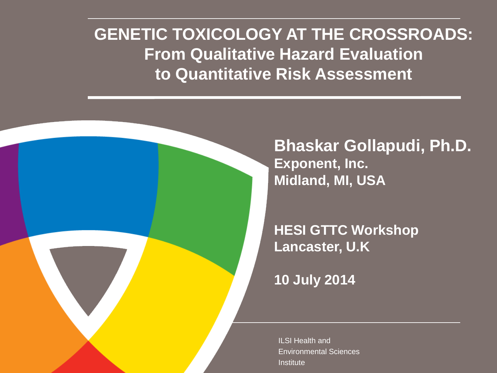### **GENETIC TOXICOLOGY AT THE CROSSROADS: From Qualitative Hazard Evaluation to Quantitative Risk Assessment**

**Bhaskar Gollapudi, Ph.D. Exponent, Inc. Midland, MI, USA**

**HESI GTTC Workshop Lancaster, U.K**

**10 July 2014**

ILSI Health and Environmental Sciences **Institute**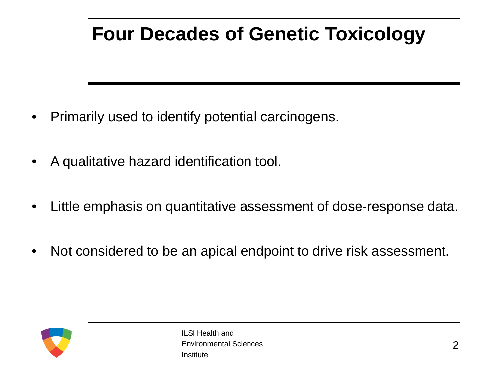### **Four Decades of Genetic Toxicology**

- Primarily used to identify potential carcinogens.
- A qualitative hazard identification tool.
- Little emphasis on quantitative assessment of dose-response data.
- Not considered to be an apical endpoint to drive risk assessment.

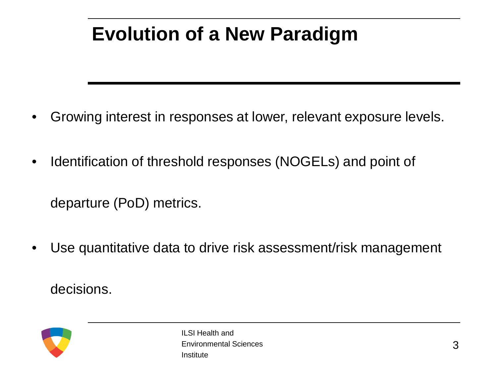### **Evolution of a New Paradigm**

- Growing interest in responses at lower, relevant exposure levels.
- Identification of threshold responses (NOGELs) and point of

departure (PoD) metrics.

• Use quantitative data to drive risk assessment/risk management

decisions.

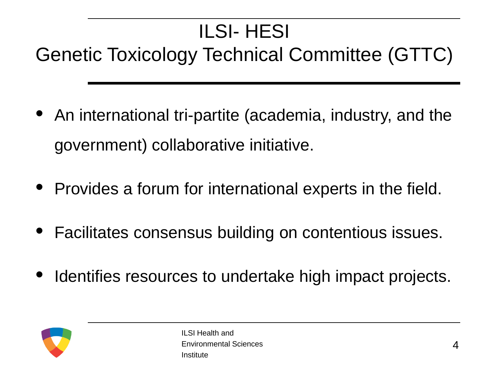### ILSI- HESI

### Genetic Toxicology Technical Committee (GTTC)

- An international tri-partite (academia, industry, and the government) collaborative initiative.
- Provides a forum for international experts in the field.
- Facilitates consensus building on contentious issues.
- Identifies resources to undertake high impact projects.

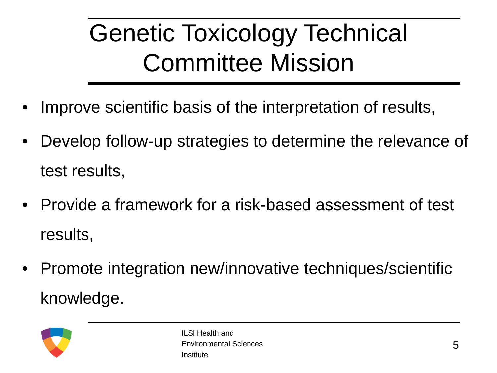# Genetic Toxicology Technical Committee Mission

- Improve scientific basis of the interpretation of results,
- Develop follow-up strategies to determine the relevance of test results,
- Provide a framework for a risk-based assessment of test results,
- Promote integration new/innovative techniques/scientific knowledge.

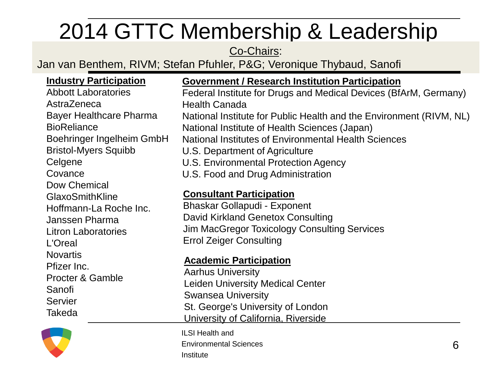## 2014 GTTC Membership & Leadership

#### Co-Chairs:

Jan van Benthem, RIVM; Stefan Pfuhler, P&G; Veronique Thybaud, Sanofi

#### **Industry Participation**

Abbott Laboratories AstraZeneca Bayer Healthcare Pharma **BioReliance** Boehringer Ingelheim GmbH Bristol-Myers Squibb **Celgene Covance** Dow Chemical GlaxoSmithKline Hoffmann-La Roche Inc. Janssen Pharma Litron Laboratories L'Oreal Novartis Pfizer Inc. Procter & Gamble Sanofi **Servier** Takeda

#### **Government / Research Institution Participation**

Federal Institute for Drugs and Medical Devices (BfArM, Germany) Health Canada

National Institute for Public Health and the Environment (RIVM, NL) National Institute of Health Sciences (Japan)

National Institutes of Environmental Health Sciences

- U.S. Department of Agriculture
- U.S. Environmental Protection Agency
- U.S. Food and Drug Administration

#### **Consultant Participation**

Bhaskar Gollapudi - Exponent David Kirkland Genetox Consulting Jim MacGregor Toxicology Consulting Services Errol Zeiger Consulting

#### **Academic Participation**

Aarhus University Leiden University Medical Center Swansea University St. George's University of London University of California, Riverside

ILSI Health and Environmental Sciences Institute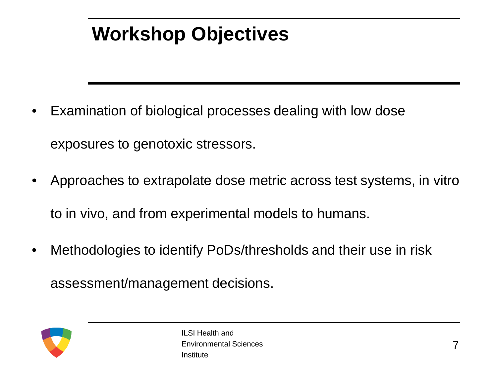### **Workshop Objectives**

- Examination of biological processes dealing with low dose exposures to genotoxic stressors.
- Approaches to extrapolate dose metric across test systems, in vitro to in vivo, and from experimental models to humans.
- Methodologies to identify PoDs/thresholds and their use in risk

assessment/management decisions.